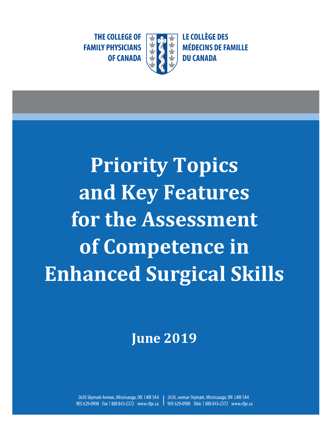**THE COLLEGE OF FAMILY PHYSICIANS OF CANADA** 



**Priority Topics and Key Features for the Assessment of Competence in Enhanced Surgical Skills**

# **June 2019**

2630 Skymark Avenue, Mississauga, ON L4W 5A4 2630, avenue Skymark, Mississauga, ON L4W 5A4 905 629-0900 Fax 1 888 843-2372 www.cfpc.ca 905 629-0900 Téléc 1 888 843-2372 www.cfpc.ca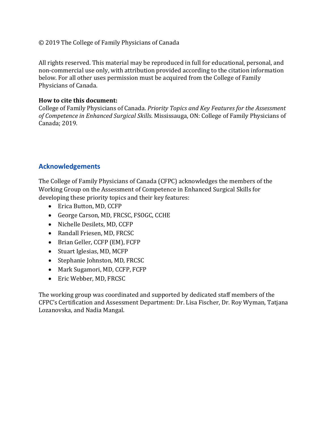#### © 2019 The College of Family Physicians of Canada

All rights reserved. This material may be reproduced in full for educational, personal, and non-commercial use only, with attribution provided according to the citation information below. For all other uses permission must be acquired from the College of Family Physicians of Canada.

#### **How to cite this document:**

College of Family Physicians of Canada. *Priority Topics and Key Features for the Assessment of Competence in Enhanced Surgical Skills*. Mississauga, ON: College of Family Physicians of Canada; 2019.

#### **Acknowledgements**

The College of Family Physicians of Canada (CFPC) acknowledges the members of the Working Group on the Assessment of Competence in Enhanced Surgical Skills for developing these priority topics and their key features:

- Erica Button, MD, CCFP
- George Carson, MD, FRCSC, FSOGC, CCHE
- Nichelle Desilets, MD, CCFP
- Randall Friesen, MD, FRCSC
- Brian Geller, CCFP (EM), FCFP
- Stuart Iglesias, MD, MCFP
- Stephanie Johnston, MD, FRCSC
- Mark Sugamori, MD, CCFP, FCFP
- Eric Webber, MD, FRCSC

The working group was coordinated and supported by dedicated staff members of the CFPC's Certification and Assessment Department: Dr. Lisa Fischer, Dr. Roy Wyman, Tatjana Lozanovska, and Nadia Mangal.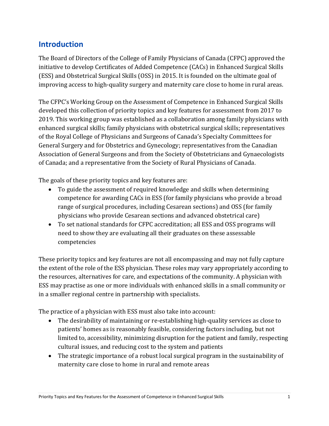# **Introduction**

The Board of Directors of the College of Family Physicians of Canada (CFPC) approved the initiative to develop Certificates of Added Competence (CACs) in Enhanced Surgical Skills (ESS) and Obstetrical Surgical Skills (OSS) in 2015. It is founded on the ultimate goal of improving access to high-quality surgery and maternity care close to home in rural areas.

The CFPC's Working Group on the Assessment of Competence in Enhanced Surgical Skills developed this collection of priority topics and key features for assessment from 2017 to 2019. This working group was established as a collaboration among family physicians with enhanced surgical skills; family physicians with obstetrical surgical skills; representatives of the Royal College of Physicians and Surgeons of Canada's Specialty Committees for General Surgery and for Obstetrics and Gynecology; representatives from the Canadian Association of General Surgeons and from the Society of Obstetricians and Gynaecologists of Canada; and a representative from the Society of Rural Physicians of Canada.

The goals of these priority topics and key features are:

- To guide the assessment of required knowledge and skills when determining competence for awarding CACs in ESS (for family physicians who provide a broad range of surgical procedures, including Cesarean sections) and OSS (for family physicians who provide Cesarean sections and advanced obstetrical care)
- To set national standards for CFPC accreditation; all ESS and OSS programs will need to show they are evaluating all their graduates on these assessable competencies

These priority topics and key features are not all encompassing and may not fully capture the extent of the role of the ESS physician. These roles may vary appropriately according to the resources, alternatives for care, and expectations of the community. A physician with ESS may practise as one or more individuals with enhanced skills in a small community or in a smaller regional centre in partnership with specialists.

The practice of a physician with ESS must also take into account:

- The desirability of maintaining or re-establishing high-quality services as close to patients' homes as is reasonably feasible, considering factors including, but not limited to, accessibility, minimizing disruption for the patient and family, respecting cultural issues, and reducing cost to the system and patients
- The strategic importance of a robust local surgical program in the sustainability of maternity care close to home in rural and remote areas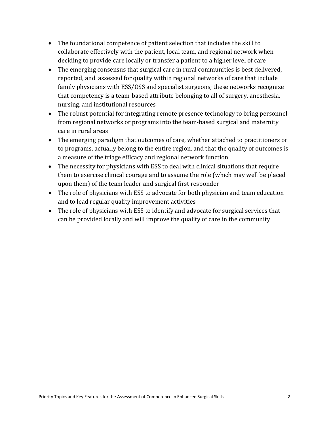- The foundational competence of patient selection that includes the skill to collaborate effectively with the patient, local team, and regional network when deciding to provide care locally or transfer a patient to a higher level of care
- The emerging consensus that surgical care in rural communities is best delivered, reported, and assessed for quality within regional networks of care that include family physicians with ESS/OSS and specialist surgeons; these networks recognize that competency is a team-based attribute belonging to all of surgery, anesthesia, nursing, and institutional resources
- The robust potential for integrating remote presence technology to bring personnel from regional networks or programs into the team-based surgical and maternity care in rural areas
- The emerging paradigm that outcomes of care, whether attached to practitioners or to programs, actually belong to the entire region, and that the quality of outcomes is a measure of the triage efficacy and regional network function
- The necessity for physicians with ESS to deal with clinical situations that require them to exercise clinical courage and to assume the role (which may well be placed upon them) of the team leader and surgical first responder
- The role of physicians with ESS to advocate for both physician and team education and to lead regular quality improvement activities
- The role of physicians with ESS to identify and advocate for surgical services that can be provided locally and will improve the quality of care in the community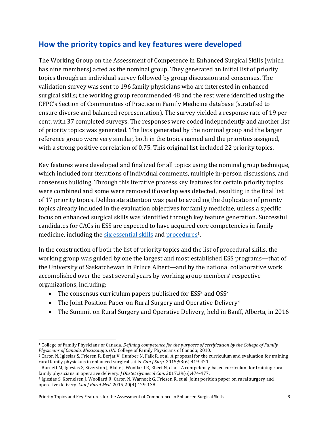# **How the priority topics and key features were developed**

The Working Group on the Assessment of Competence in Enhanced Surgical Skills (which has nine members) acted as the nominal group. They generated an initial list of priority topics through an individual survey followed by group discussion and consensus. The validation survey was sent to 196 family physicians who are interested in enhanced surgical skills; the working group recommended 48 and the rest were identified using the CFPC's Section of Communities of Practice in Family Medicine database (stratified to ensure diverse and balanced representation). The survey yielded a response rate of 19 per cent, with 37 completed surveys. The responses were coded independently and another list of priority topics was generated. The lists generated by the nominal group and the larger reference group were very similar, both in the topics named and the priorities assigned, with a strong positive correlation of 0.75. This original list included 22 priority topics.

Key features were developed and finalized for all topics using the nominal group technique, which included four iterations of individual comments, multiple in-person discussions, and consensus building. Through this iterative process key features for certain priority topics were combined and some were removed if overlap was detected, resulting in the final list of 17 priority topics. Deliberate attention was paid to avoiding the duplication of priority topics already included in the evaluation objectives for family medicine, unless a specific focus on enhanced surgical skills was identified through key feature generation. Successful candidates for CACs in ESS are expected to have acquired core competencies in family medicine, including the six [essential](https://www.cfpc.ca/uploadedFiles/Education/Part%20II%20Evaluation%20objectives.pdf) skills and [procedures](https://www.cfpc.ca/uploadedFiles/Education/Certification_in_Family_Medicine_Examination/Definition%20of%20Competence%20Complete%20Document%20with%20skills%20and%20phases.pdf#page=62)<sup>1</sup>.

In the construction of both the list of priority topics and the list of procedural skills, the working group was guided by one the largest and most established ESS programs—that of the University of Saskatchewan in Prince Albert—and by the national collaborative work accomplished over the past several years by working group members' respective organizations, including:

- The consensus curriculum papers published for  $ESS^2$  and  $OSS^3$
- The Joint Position Paper on Rural Surgery and Operative Delivery<sup>4</sup>
- The Summit on Rural Surgery and Operative Delivery, held in Banff, Alberta, in 2016

Priority Topics and Key Features for the Assessment of Competence in Enhanced Surgical Skills 3

<sup>1</sup> College of Family Physicians of Canada. *Defining competence for the purposes of certification by the College of Family Physicians of Canada. Mississauga, ON:* College of Family Physicians of Canada; 2010.

<sup>2</sup> Caron N, Iglesias S, Friesen R, Berjat V, Humber N, Falk R, et al. A proposal for the curriculum and evaluation for training rural family physicians in enhanced surgical skills. *Can J Surg*. 2015;58(6):419-421.

<sup>3</sup> Burnett M, Iglesias S, Siverston J, Blake J, Woollard R, Ebert N, et al. A competency-based curriculum for training rural family physicians in operative delivery. *J Obstet Gynaecol Can*. 2017;39(6):474-477.

<sup>4</sup> Iglesias S, Kornelsen J, Woollard R, Caron N, Warnock G, Friesen R, et al. Joint position paper on rural surgery and operative delivery. *Can J Rural Med*. 2015;20(4):129-138.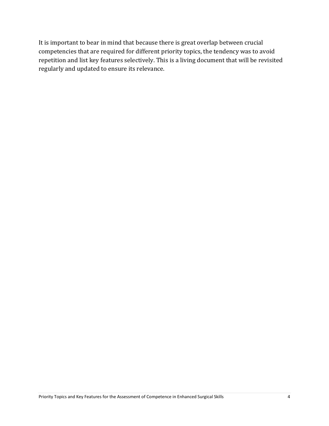It is important to bear in mind that because there is great overlap between crucial competencies that are required for different priority topics, the tendency was to avoid repetition and list key features selectively. This is a living document that will be revisited regularly and updated to ensure its relevance.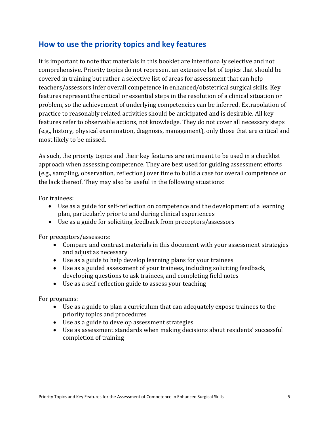# **How to use the priority topics and key features**

It is important to note that materials in this booklet are intentionally selective and not comprehensive. Priority topics do not represent an extensive list of topics that should be covered in training but rather a selective list of areas for assessment that can help teachers/assessors infer overall competence in enhanced/obstetrical surgical skills. Key features represent the critical or essential steps in the resolution of a clinical situation or problem, so the achievement of underlying competencies can be inferred. Extrapolation of practice to reasonably related activities should be anticipated and is desirable. All key features refer to observable actions, not knowledge. They do not cover all necessary steps (e.g., history, physical examination, diagnosis, management), only those that are critical and most likely to be missed.

As such, the priority topics and their key features are not meant to be used in a checklist approach when assessing competence. They are best used for guiding assessment efforts (e.g., sampling, observation, reflection) over time to build a case for overall competence or the lack thereof. They may also be useful in the following situations:

For trainees:

- Use as a guide for self-reflection on competence and the development of a learning plan, particularly prior to and during clinical experiences
- Use as a guide for soliciting feedback from preceptors/assessors

For preceptors/assessors:

- Compare and contrast materials in this document with your assessment strategies and adjust as necessary
- Use as a guide to help develop learning plans for your trainees
- Use as a guided assessment of your trainees, including soliciting feedback, developing questions to ask trainees, and completing field notes
- Use as a self-reflection guide to assess your teaching

For programs:

- Use as a guide to plan a curriculum that can adequately expose trainees to the priority topics and procedures
- Use as a guide to develop assessment strategies
- Use as assessment standards when making decisions about residents' successful completion of training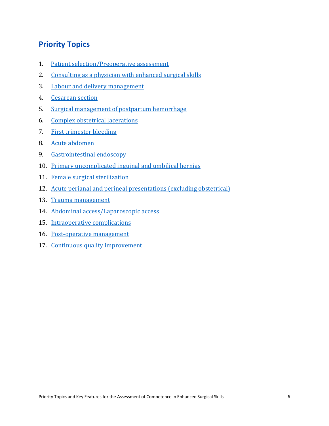# **Priority Topics**

- 1. Patient [selection/Preoperative](#page-8-0) assessment
- 2. [Consulting](#page-9-0) as a physician with enhanced surgical skills
- 3. Labour and delivery [management](#page-10-0)
- 4. [Cesarean](#page-12-0) section
- 5. Surgical [management](#page-14-0) of postpartum hemorrhage
- 6. Complex obstetrical [lacerations](#page-15-0)
- 7. First [trimester](#page-16-0) bleeding
- 8. Acute [abdomen](#page-17-0)
- 9. [Gastrointestinal](#page-18-0) endoscopy
- 10. Primary [uncomplicated](#page-19-0) inguinal and umbilical hernias
- 11. Female surgical [sterilization](#page-20-0)
- 12. Acute perianal and perineal [presentations](#page-21-0) (excluding obstetrical)
- 13. Trauma [management](#page-22-0)
- 14. Abdominal [access/Laparoscopic](#page-23-0) access
- 15. [Intraoperative](#page-24-0) complications
- 16. [Post-operative](#page-25-0) management
- 17. Continuous quality [improvement](#page-26-0)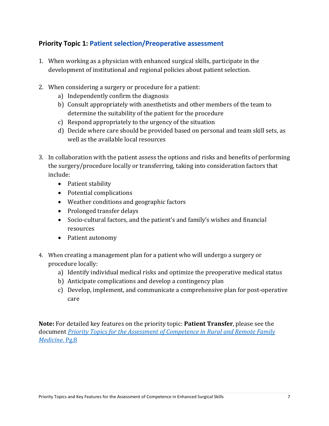## <span id="page-8-0"></span>**Priority Topic 1: Patient selection/Preoperative assessment**

- 1. When working as a physician with enhanced surgical skills, participate in the development of institutional and regional policies about patient selection.
- 2. When considering a surgery or procedure for a patient:
	- a) Independently confirm the diagnosis
	- b) Consult appropriately with anesthetists and other members of the team to determine the suitability of the patient for the procedure
	- c) Respond appropriately to the urgency of the situation
	- d) Decide where care should be provided based on personal and team skill sets, as well as the available local resources
- 3. In collaboration with the patient assess the options and risks and benefits of performing the surgery/procedure locally or transferring, taking into consideration factors that include:
	- Patient stability
	- Potential complications
	- Weather conditions and geographic factors
	- Prolonged transfer delays
	- Socio-cultural factors, and the patient's and family's wishes and financial resources
	- Patient autonomy
- 4. When creating a management plan for a patient who will undergo a surgery or procedure locally:
	- a) Identify individual medical risks and optimize the preoperative medical status
	- b) Anticipate complications and develop a contingency plan
	- c) Develop, implement, and communicate a comprehensive plan for post-operative care

**Note:** For detailed key features on the priority topic: **Patient Transfer**, please see the document *[Priority Topics for the Assessment of Competence in Rural and Remote Family](https://www.cfpc.ca/uploadedfiles/Education/Rural-PT_KF_EN.pdf)  [Medicine](https://www.cfpc.ca/uploadedfiles/Education/Rural-PT_KF_EN.pdf)*. Pg.8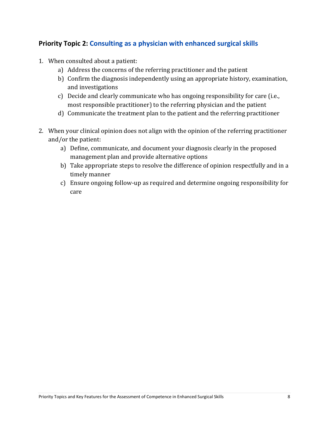## <span id="page-9-0"></span>**Priority Topic 2: Consulting as a physician with enhanced surgical skills**

- 1. When consulted about a patient:
	- a) Address the concerns of the referring practitioner and the patient
	- b) Confirm the diagnosis independently using an appropriate history, examination, and investigations
	- c) Decide and clearly communicate who has ongoing responsibility for care (i.e., most responsible practitioner) to the referring physician and the patient
	- d) Communicate the treatment plan to the patient and the referring practitioner
- 2. When your clinical opinion does not align with the opinion of the referring practitioner and/or the patient:
	- a) Define, communicate, and document your diagnosis clearly in the proposed management plan and provide alternative options
	- b) Take appropriate steps to resolve the difference of opinion respectfully and in a timely manner
	- c) Ensure ongoing follow-up as required and determine ongoing responsibility for care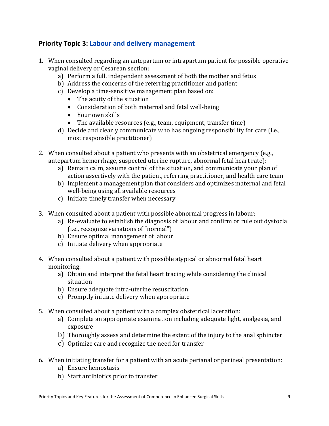#### <span id="page-10-0"></span>**Priority Topic 3: Labour and delivery management**

- 1. When consulted regarding an antepartum or intrapartum patient for possible operative vaginal delivery or Cesarean section:
	- a) Perform a full, independent assessment of both the mother and fetus
	- b) Address the concerns of the referring practitioner and patient
	- c) Develop a time-sensitive management plan based on:
		- The acuity of the situation
		- Consideration of both maternal and fetal well-being
		- Your own skills
		- The available resources (e.g., team, equipment, transfer time)
	- d) Decide and clearly communicate who has ongoing responsibility for care (i.e., most responsible practitioner)
- 2. When consulted about a patient who presents with an obstetrical emergency (e.g., antepartum hemorrhage, suspected uterine rupture, abnormal fetal heart rate):
	- a) Remain calm, assume control of the situation, and communicate your plan of action assertively with the patient, referring practitioner, and health care team
	- b) Implement a management plan that considers and optimizes maternal and fetal well-being using all available resources
	- c) Initiate timely transfer when necessary
- 3. When consulted about a patient with possible abnormal progress in labour:
	- a) Re-evaluate to establish the diagnosis of labour and confirm or rule out dystocia (i.e., recognize variations of "normal")
	- b) Ensure optimal management of labour
	- c) Initiate delivery when appropriate
- 4. When consulted about a patient with possible atypical or abnormal fetal heart monitoring:
	- a) Obtain and interpret the fetal heart tracing while considering the clinical situation
	- b) Ensure adequate intra-uterine resuscitation
	- c) Promptly initiate delivery when appropriate
- 5. When consulted about a patient with a complex obstetrical laceration:
	- a) Complete an appropriate examination including adequate light, analgesia, and exposure
	- b) Thoroughly assess and determine the extent of the injury to the anal sphincter
	- c) Optimize care and recognize the need for transfer
- 6. When initiating transfer for a patient with an acute perianal or perineal presentation:
	- a) Ensure hemostasis
	- b) Start antibiotics prior to transfer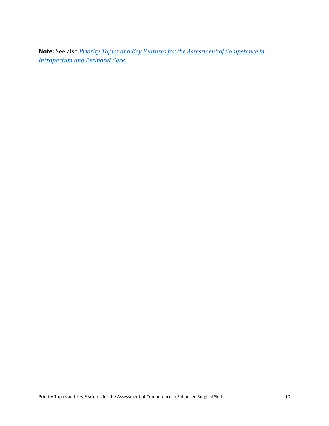**Note:** See also *[Priority Topics and Key Features for the Assessment of Competence in](https://www.cfpc.ca/uploadedFiles/Education/MNC-booklet-Phases-Dimensions-Final.pdf)  Intrapartum [and Perinatal](https://www.cfpc.ca/uploadedFiles/Education/MNC-booklet-Phases-Dimensions-Final.pdf) Care*.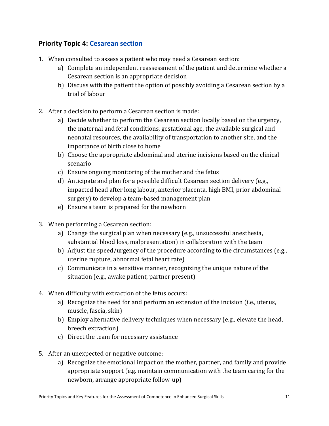## <span id="page-12-0"></span>**Priority Topic 4: Cesarean section**

- 1. When consulted to assess a patient who may need a Cesarean section:
	- a) Complete an independent reassessment of the patient and determine whether a Cesarean section is an appropriate decision
	- b) Discuss with the patient the option of possibly avoiding a Cesarean section by a trial of labour
- 2. After a decision to perform a Cesarean section is made:
	- a) Decide whether to perform the Cesarean section locally based on the urgency, the maternal and fetal conditions, gestational age, the available surgical and neonatal resources, the availability of transportation to another site, and the importance of birth close to home
	- b) Choose the appropriate abdominal and uterine incisions based on the clinical scenario
	- c) Ensure ongoing monitoring of the mother and the fetus
	- d) Anticipate and plan for a possible difficult Cesarean section delivery (e.g., impacted head after long labour, anterior placenta, high BMI, prior abdominal surgery) to develop a team-based management plan
	- e) Ensure a team is prepared for the newborn
- 3. When performing a Cesarean section:
	- a) Change the surgical plan when necessary (e.g., unsuccessful anesthesia, substantial blood loss, malpresentation) in collaboration with the team
	- b) Adjust the speed/urgency of the procedure according to the circumstances (e.g., uterine rupture, abnormal fetal heart rate)
	- c) Communicate in a sensitive manner, recognizing the unique nature of the situation (e.g., awake patient, partner present)
- 4. When difficulty with extraction of the fetus occurs:
	- a) Recognize the need for and perform an extension of the incision (i.e., uterus, muscle, fascia, skin)
	- b) Employ alternative delivery techniques when necessary (e.g., elevate the head, breech extraction)
	- c) Direct the team for necessary assistance
- 5. After an unexpected or negative outcome:
	- a) Recognize the emotional impact on the mother, partner, and family and provide appropriate support (e.g. maintain communication with the team caring for the newborn, arrange appropriate follow-up)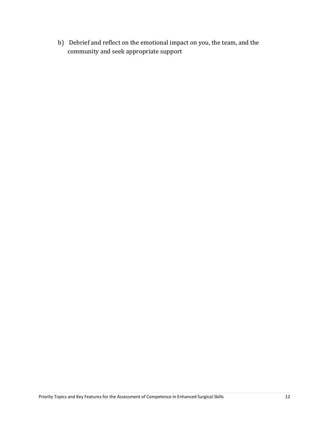b) Debrief and reflect on the emotional impact on you, the team, and the community and seek appropriate support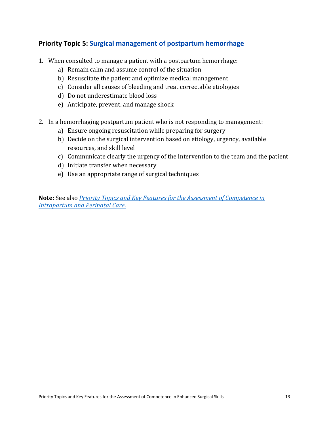## <span id="page-14-0"></span>**Priority Topic 5: Surgical management of postpartum hemorrhage**

- 1. When consulted to manage a patient with a postpartum hemorrhage:
	- a) Remain calm and assume control of the situation
	- b) Resuscitate the patient and optimize medical management
	- c) Consider all causes of bleeding and treat correctable etiologies
	- d) Do not underestimate blood loss
	- e) Anticipate, prevent, and manage shock
- 2. In a hemorrhaging postpartum patient who is not responding to management:
	- a) Ensure ongoing resuscitation while preparing for surgery
	- b) Decide on the surgical intervention based on etiology, urgency, available resources, and skill level
	- c) Communicate clearly the urgency of the intervention to the team and the patient
	- d) Initiate transfer when necessary
	- e) Use an appropriate range of surgical techniques

**Note:** See also *[Priority Topics and Key Features for the Assessment of Competence in](https://www.cfpc.ca/uploadedFiles/Education/MNC-booklet-Phases-Dimensions-Final.pdf)  [Intrapartum and Perinatal Care.](https://www.cfpc.ca/uploadedFiles/Education/MNC-booklet-Phases-Dimensions-Final.pdf)*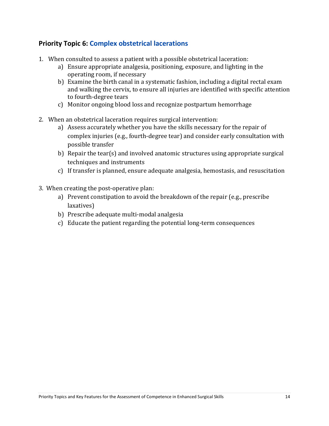#### <span id="page-15-0"></span>**Priority Topic 6: Complex obstetrical lacerations**

- 1. When consulted to assess a patient with a possible obstetrical laceration:
	- a) Ensure appropriate analgesia, positioning, exposure, and lighting in the operating room, if necessary
	- b) Examine the birth canal in a systematic fashion, including a digital rectal exam and walking the cervix, to ensure all injuries are identified with specific attention to fourth-degree tears
	- c) Monitor ongoing blood loss and recognize postpartum hemorrhage
- 2. When an obstetrical laceration requires surgical intervention:
	- a) Assess accurately whether you have the skills necessary for the repair of complex injuries (e.g., fourth-degree tear) and consider early consultation with possible transfer
	- b) Repair the tear(s) and involved anatomic structures using appropriate surgical techniques and instruments
	- c) If transfer is planned, ensure adequate analgesia, hemostasis, and resuscitation
- 3. When creating the post-operative plan:
	- a) Prevent constipation to avoid the breakdown of the repair (e.g., prescribe laxatives)
	- b) Prescribe adequate multi-modal analgesia
	- c) Educate the patient regarding the potential long-term consequences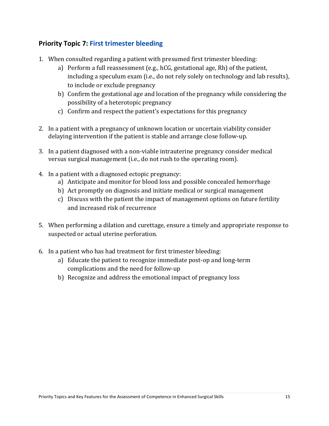## <span id="page-16-0"></span>**Priority Topic 7: First trimester bleeding**

- 1. When consulted regarding a patient with presumed first trimester bleeding:
	- a) Perform a full reassessment (e.g., hCG, gestational age, Rh) of the patient, including a speculum exam (i.e., do not rely solely on technology and lab results), to include or exclude pregnancy
	- b) Confirm the gestational age and location of the pregnancy while considering the possibility of a heterotopic pregnancy
	- c) Confirm and respect the patient's expectations for this pregnancy
- 2. In a patient with a pregnancy of unknown location or uncertain viability consider delaying intervention if the patient is stable and arrange close follow-up.
- 3. In a patient diagnosed with a non-viable intrauterine pregnancy consider medical versus surgical management (i.e., do not rush to the operating room).
- 4. In a patient with a diagnosed ectopic pregnancy:
	- a) Anticipate and monitor for blood loss and possible concealed hemorrhage
	- b) Act promptly on diagnosis and initiate medical or surgical management
	- c) Discuss with the patient the impact of management options on future fertility and increased risk of recurrence
- 5. When performing a dilation and curettage, ensure a timely and appropriate response to suspected or actual uterine perforation.
- 6. In a patient who has had treatment for first trimester bleeding:
	- a) Educate the patient to recognize immediate post-op and long-term complications and the need for follow-up
	- b) Recognize and address the emotional impact of pregnancy loss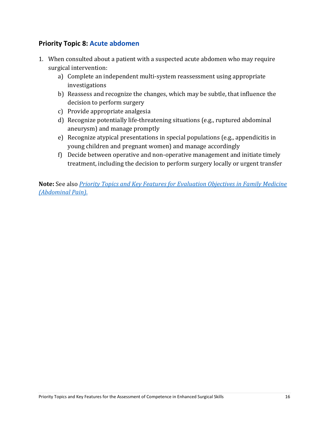#### <span id="page-17-0"></span>**Priority Topic 8: Acute abdomen**

- 1. When consulted about a patient with a suspected acute abdomen who may require surgical intervention:
	- a) Complete an independent multi-system reassessment using appropriate investigations
	- b) Reassess and recognize the changes, which may be subtle, that influence the decision to perform surgery
	- c) Provide appropriate analgesia
	- d) Recognize potentially life-threatening situations (e.g., ruptured abdominal aneurysm) and manage promptly
	- e) Recognize atypical presentations in special populations (e.g., appendicitis in young children and pregnant women) and manage accordingly
	- f) Decide between operative and non-operative management and initiate timely treatment, including the decision to perform surgery locally or urgent transfer

**Note:** See also *[Priority Topics and Key Features for Evaluation Objectives in Family Medicine](https://www.cfpc.ca/uploadedFiles/Education/Priority%20Topics%20and%20KFs%20with%20skills%20and%20phases%20Jan%202011.pdf) [\(Abdominal Pain\)](https://www.cfpc.ca/uploadedFiles/Education/Priority%20Topics%20and%20KFs%20with%20skills%20and%20phases%20Jan%202011.pdf)*.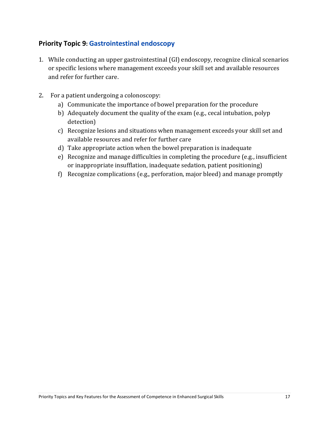## <span id="page-18-0"></span>**Priority Topic 9: Gastrointestinal endoscopy**

- 1. While conducting an upper gastrointestinal (GI) endoscopy, recognize clinical scenarios or specific lesions where management exceeds your skill set and available resources and refer for further care.
- 2. For a patient undergoing a colonoscopy:
	- a) Communicate the importance of bowel preparation for the procedure
	- b) Adequately document the quality of the exam (e.g., cecal intubation, polyp detection)
	- c) Recognize lesions and situations when management exceeds your skill set and available resources and refer for further care
	- d) Take appropriate action when the bowel preparation is inadequate
	- e) Recognize and manage difficulties in completing the procedure (e.g., insufficient or inappropriate insufflation, inadequate sedation, patient positioning)
	- f) Recognize complications (e.g., perforation, major bleed) and manage promptly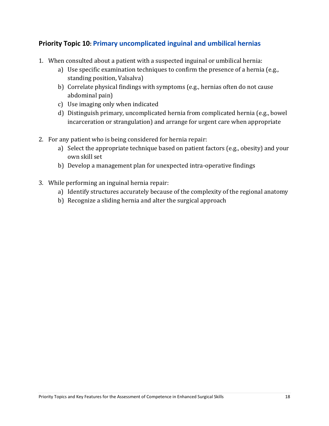#### <span id="page-19-0"></span>**Priority Topic 10: Primary uncomplicated inguinal and umbilical hernias**

- 1. When consulted about a patient with a suspected inguinal or umbilical hernia:
	- a) Use specific examination techniques to confirm the presence of a hernia (e.g., standing position, Valsalva)
	- b) Correlate physical findings with symptoms (e.g., hernias often do not cause abdominal pain)
	- c) Use imaging only when indicated
	- d) Distinguish primary, uncomplicated hernia from complicated hernia (e.g., bowel incarceration or strangulation) and arrange for urgent care when appropriate
- 2. For any patient who is being considered for hernia repair:
	- a) Select the appropriate technique based on patient factors (e.g., obesity) and your own skill set
	- b) Develop a management plan for unexpected intra-operative findings
- 3. While performing an inguinal hernia repair:
	- a) Identify structures accurately because of the complexity of the regional anatomy
	- b) Recognize a sliding hernia and alter the surgical approach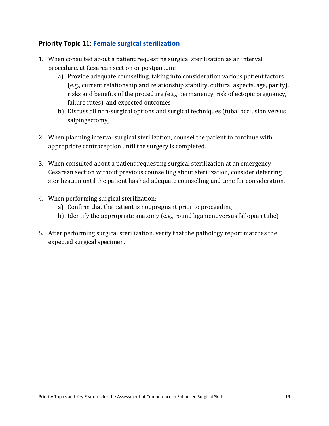## <span id="page-20-0"></span>**Priority Topic 11: Female surgical sterilization**

- 1. When consulted about a patient requesting surgical sterilization as an interval procedure, at Cesarean section or postpartum:
	- a) Provide adequate counselling, taking into consideration various patient factors (e.g., current relationship and relationship stability, cultural aspects, age, parity), risks and benefits of the procedure (e.g., permanency, risk of ectopic pregnancy, failure rates), and expected outcomes
	- b) Discuss all non-surgical options and surgical techniques (tubal occlusion versus salpingectomy)
- 2. When planning interval surgical sterilization, counsel the patient to continue with appropriate contraception until the surgery is completed.
- 3. When consulted about a patient requesting surgical sterilization at an emergency Cesarean section without previous counselling about sterilization, consider deferring sterilization until the patient has had adequate counselling and time for consideration.
- 4. When performing surgical sterilization:
	- a) Confirm that the patient is not pregnant prior to proceeding
	- b) Identify the appropriate anatomy (e.g., round ligament versus fallopian tube)
- 5. After performing surgical sterilization, verify that the pathology report matches the expected surgical specimen.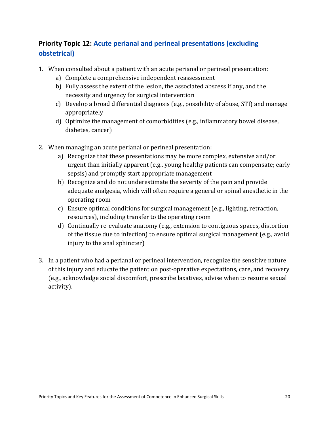## <span id="page-21-0"></span>**Priority Topic 12: Acute perianal and perineal presentations (excluding obstetrical)**

- 1. When consulted about a patient with an acute perianal or perineal presentation:
	- a) Complete a comprehensive independent reassessment
	- b) Fully assess the extent of the lesion, the associated abscess if any, and the necessity and urgency for surgical intervention
	- c) Develop a broad differential diagnosis (e.g., possibility of abuse, STI) and manage appropriately
	- d) Optimize the management of comorbidities (e.g., inflammatory bowel disease, diabetes, cancer)
- 2. When managing an acute perianal or perineal presentation:
	- a) Recognize that these presentations may be more complex, extensive and/or urgent than initially apparent (e.g., young healthy patients can compensate; early sepsis) and promptly start appropriate management
	- b) Recognize and do not underestimate the severity of the pain and provide adequate analgesia, which will often require a general or spinal anesthetic in the operating room
	- c) Ensure optimal conditions for surgical management (e.g., lighting, retraction, resources), including transfer to the operating room
	- d) Continually re-evaluate anatomy (e.g., extension to contiguous spaces, distortion of the tissue due to infection) to ensure optimal surgical management (e.g., avoid injury to the anal sphincter)
- 3. In a patient who had a perianal or perineal intervention, recognize the sensitive nature of this injury and educate the patient on post-operative expectations, care, and recovery (e.g., acknowledge social discomfort, prescribe laxatives, advise when to resume sexual activity).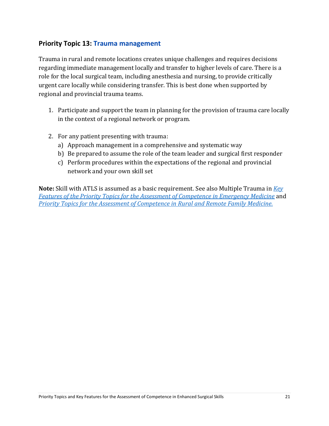#### <span id="page-22-0"></span>**Priority Topic 13: Trauma management**

Trauma in rural and remote locations creates unique challenges and requires decisions regarding immediate management locally and transfer to higher levels of care. There is a role for the local surgical team, including anesthesia and nursing, to provide critically urgent care locally while considering transfer. This is best done when supported by regional and provincial trauma teams.

- 1. Participate and support the team in planning for the provision of trauma care locally in the context of a regional network or program.
- 2. For any patient presenting with trauma:
	- a) Approach management in a comprehensive and systematic way
	- b) Be prepared to assume the role of the team leader and surgical first responder
	- c) Perform procedures within the expectations of the regional and provincial network and your own skill set

**Note:** Skill with ATLS is assumed as a basic requirement. See also Multiple Trauma in *[Key](https://www.cfpc.ca/priority_topics_in_EM/)  [Features of the Priority Topics for the Assessment of Competence in Emergency Medicine](https://www.cfpc.ca/priority_topics_in_EM/)* and *[Priority Topics for the Assessment of Competence in Rural and Remote Family Medicine.](https://www.cfpc.ca/uploadedfiles/Education/Rural-PT_KF_EN.pdf)*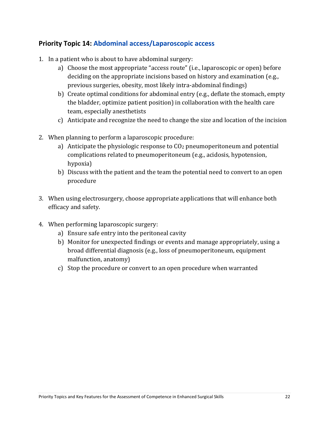#### <span id="page-23-0"></span>**Priority Topic 14: Abdominal access/Laparoscopic access**

- 1. In a patient who is about to have abdominal surgery:
	- a) Choose the most appropriate "access route" (i.e., laparoscopic or open) before deciding on the appropriate incisions based on history and examination (e.g., previous surgeries, obesity, most likely intra-abdominal findings)
	- b) Create optimal conditions for abdominal entry (e.g., deflate the stomach, empty the bladder, optimize patient position) in collaboration with the health care team, especially anesthetists
	- c) Anticipate and recognize the need to change the size and location of the incision
- 2. When planning to perform a laparoscopic procedure:
	- a) Anticipate the physiologic response to  $C_2$  pneumoperitoneum and potential complications related to pneumoperitoneum (e.g., acidosis, hypotension, hypoxia)
	- b) Discuss with the patient and the team the potential need to convert to an open procedure
- 3. When using electrosurgery, choose appropriate applications that will enhance both efficacy and safety.
- 4. When performing laparoscopic surgery:
	- a) Ensure safe entry into the peritoneal cavity
	- b) Monitor for unexpected findings or events and manage appropriately, using a broad differential diagnosis (e.g., loss of pneumoperitoneum, equipment malfunction, anatomy)
	- c) Stop the procedure or convert to an open procedure when warranted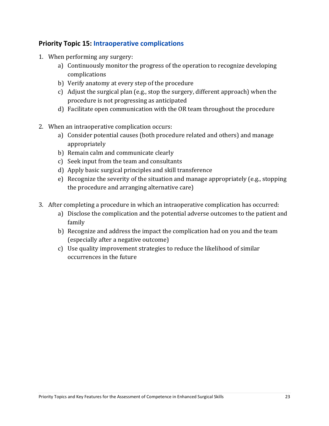#### <span id="page-24-0"></span>**Priority Topic 15: Intraoperative complications**

- 1. When performing any surgery:
	- a) Continuously monitor the progress of the operation to recognize developing complications
	- b) Verify anatomy at every step of the procedure
	- c) Adjust the surgical plan (e.g., stop the surgery, different approach) when the procedure is not progressing as anticipated
	- d) Facilitate open communication with the OR team throughout the procedure
- 2. When an intraoperative complication occurs:
	- a) Consider potential causes (both procedure related and others) and manage appropriately
	- b) Remain calm and communicate clearly
	- c) Seek input from the team and consultants
	- d) Apply basic surgical principles and skill transference
	- e) Recognize the severity of the situation and manage appropriately (e.g., stopping the procedure and arranging alternative care)
- 3. After completing a procedure in which an intraoperative complication has occurred:
	- a) Disclose the complication and the potential adverse outcomes to the patient and family
	- b) Recognize and address the impact the complication had on you and the team (especially after a negative outcome)
	- c) Use quality improvement strategies to reduce the likelihood of similar occurrences in the future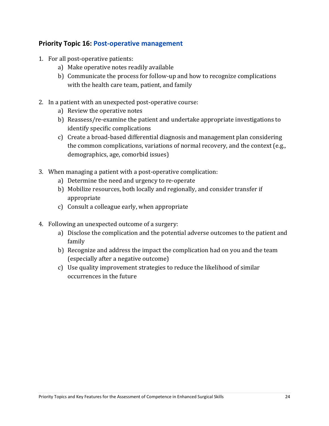#### <span id="page-25-0"></span>**Priority Topic 16: Post-operative management**

- 1. For all post-operative patients:
	- a) Make operative notes readily available
	- b) Communicate the process for follow-up and how to recognize complications with the health care team, patient, and family
- 2. In a patient with an unexpected post-operative course:
	- a) Review the operative notes
	- b) Reassess/re-examine the patient and undertake appropriate investigations to identify specific complications
	- c) Create a broad-based differential diagnosis and management plan considering the common complications, variations of normal recovery, and the context (e.g., demographics, age, comorbid issues)
- 3. When managing a patient with a post-operative complication:
	- a) Determine the need and urgency to re-operate
	- b) Mobilize resources, both locally and regionally, and consider transfer if appropriate
	- c) Consult a colleague early, when appropriate
- 4. Following an unexpected outcome of a surgery:
	- a) Disclose the complication and the potential adverse outcomes to the patient and family
	- b) Recognize and address the impact the complication had on you and the team (especially after a negative outcome)
	- c) Use quality improvement strategies to reduce the likelihood of similar occurrences in the future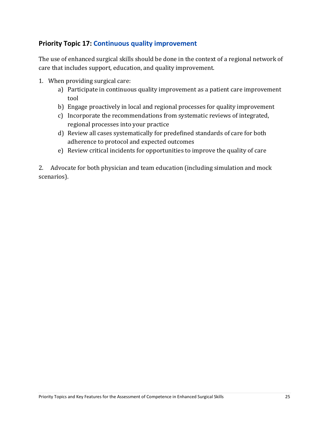#### <span id="page-26-0"></span>**Priority Topic 17: Continuous quality improvement**

The use of enhanced surgical skills should be done in the context of a regional network of care that includes support, education, and quality improvement.

- 1. When providing surgical care:
	- a) Participate in continuous quality improvement as a patient care improvement tool
	- b) Engage proactively in local and regional processes for quality improvement
	- c) Incorporate the recommendations from systematic reviews of integrated, regional processes into your practice
	- d) Review all cases systematically for predefined standards of care for both adherence to protocol and expected outcomes
	- e) Review critical incidents for opportunities to improve the quality of care

2. Advocate for both physician and team education (including simulation and mock scenarios).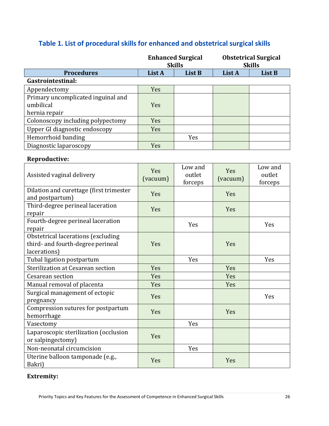|                                                  | <b>Enhanced Surgical</b><br><b>Skills</b> |         | <b>Obstetrical Surgical</b><br><b>Skills</b> |         |
|--------------------------------------------------|-------------------------------------------|---------|----------------------------------------------|---------|
| <b>Procedures</b>                                | List A                                    | List B  | List A                                       | List B  |
| Gastrointestinal:                                |                                           |         |                                              |         |
| Appendectomy                                     | Yes                                       |         |                                              |         |
| Primary uncomplicated inguinal and               |                                           |         |                                              |         |
| umbilical                                        | Yes                                       |         |                                              |         |
| hernia repair                                    |                                           |         |                                              |         |
| Colonoscopy including polypectomy                | Yes                                       |         |                                              |         |
| Upper GI diagnostic endoscopy                    | Yes                                       |         |                                              |         |
| Hemorrhoid banding                               |                                           | Yes     |                                              |         |
| Diagnostic laparoscopy                           | Yes                                       |         |                                              |         |
| Reproductive:                                    |                                           |         |                                              |         |
|                                                  |                                           | Low and |                                              | Low and |
| Assisted vaginal delivery                        | Yes                                       | outlet  | Yes                                          | outlet  |
|                                                  | (vacuum)                                  | forceps | (vacuum)                                     | forceps |
| Dilation and curettage (first trimester          |                                           |         |                                              |         |
| and postpartum)                                  | Yes                                       |         | Yes                                          |         |
| Third-degree perineal laceration                 | Yes                                       |         | Yes                                          |         |
| repair                                           |                                           |         |                                              |         |
| Fourth-degree perineal laceration                |                                           | Yes     |                                              | Yes     |
| repair                                           |                                           |         |                                              |         |
| Obstetrical lacerations (excluding               |                                           |         |                                              |         |
| third- and fourth-degree perineal                | Yes                                       |         | Yes                                          |         |
| lacerations)                                     |                                           |         |                                              |         |
| Tubal ligation postpartum                        |                                           | Yes     |                                              | Yes     |
| Sterilization at Cesarean section                | Yes                                       |         | Yes                                          |         |
| Cesarean section                                 | Yes                                       |         | Yes                                          |         |
| Manual removal of placenta                       | Yes                                       |         | Yes                                          |         |
| Surgical management of ectopic                   | Yes                                       |         |                                              | Yes     |
| pregnancy                                        |                                           |         |                                              |         |
| Compression sutures for postpartum<br>hemorrhage | Yes                                       |         | Yes                                          |         |
| Vasectomy                                        |                                           | Yes     |                                              |         |
| Laparoscopic sterilization (occlusion            |                                           |         |                                              |         |
| or salpingectomy)                                | Yes                                       |         |                                              |         |
| Non-neonatal circumcision                        |                                           | Yes     |                                              |         |
| Uterine balloon tamponade (e.g.,                 |                                           |         |                                              |         |
| Bakri)                                           | Yes                                       |         | Yes                                          |         |

# **Table 1. List of procedural skills for enhanced and obstetrical surgical skills**

#### **Extremity:**